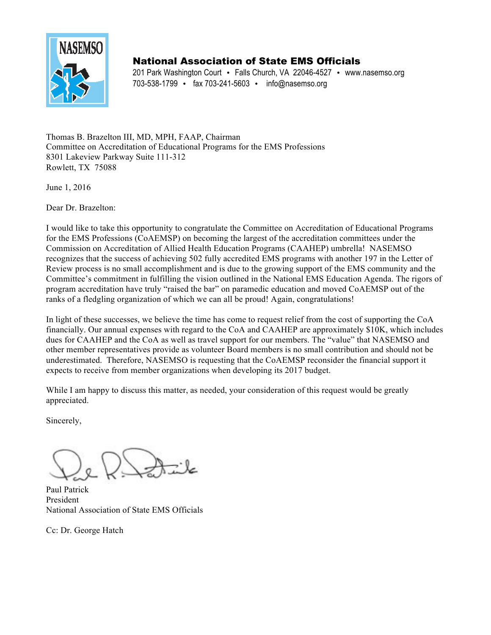

## National Association of State EMS Officials

201 Park Washington Court • Falls Church, VA 22046-4527 • www.nasemso.org 703-538-1799 • fax 703-241-5603 • info@nasemso.org

Thomas B. Brazelton III, MD, MPH, FAAP, Chairman Committee on Accreditation of Educational Programs for the EMS Professions 8301 Lakeview Parkway Suite 111-312 Rowlett, TX 75088

June 1, 2016

Dear Dr. Brazelton:

I would like to take this opportunity to congratulate the Committee on Accreditation of Educational Programs for the EMS Professions (CoAEMSP) on becoming the largest of the accreditation committees under the Commission on Accreditation of Allied Health Education Programs (CAAHEP) umbrella! NASEMSO recognizes that the success of achieving 502 fully accredited EMS programs with another 197 in the Letter of Review process is no small accomplishment and is due to the growing support of the EMS community and the Committee's commitment in fulfilling the vision outlined in the National EMS Education Agenda. The rigors of program accreditation have truly "raised the bar" on paramedic education and moved CoAEMSP out of the ranks of a fledgling organization of which we can all be proud! Again, congratulations!

In light of these successes, we believe the time has come to request relief from the cost of supporting the CoA financially. Our annual expenses with regard to the CoA and CAAHEP are approximately \$10K, which includes dues for CAAHEP and the CoA as well as travel support for our members. The "value" that NASEMSO and other member representatives provide as volunteer Board members is no small contribution and should not be underestimated. Therefore, NASEMSO is requesting that the CoAEMSP reconsider the financial support it expects to receive from member organizations when developing its 2017 budget.

While I am happy to discuss this matter, as needed, your consideration of this request would be greatly appreciated.

Sincerely,

Paul Patrick President National Association of State EMS Officials

Cc: Dr. George Hatch